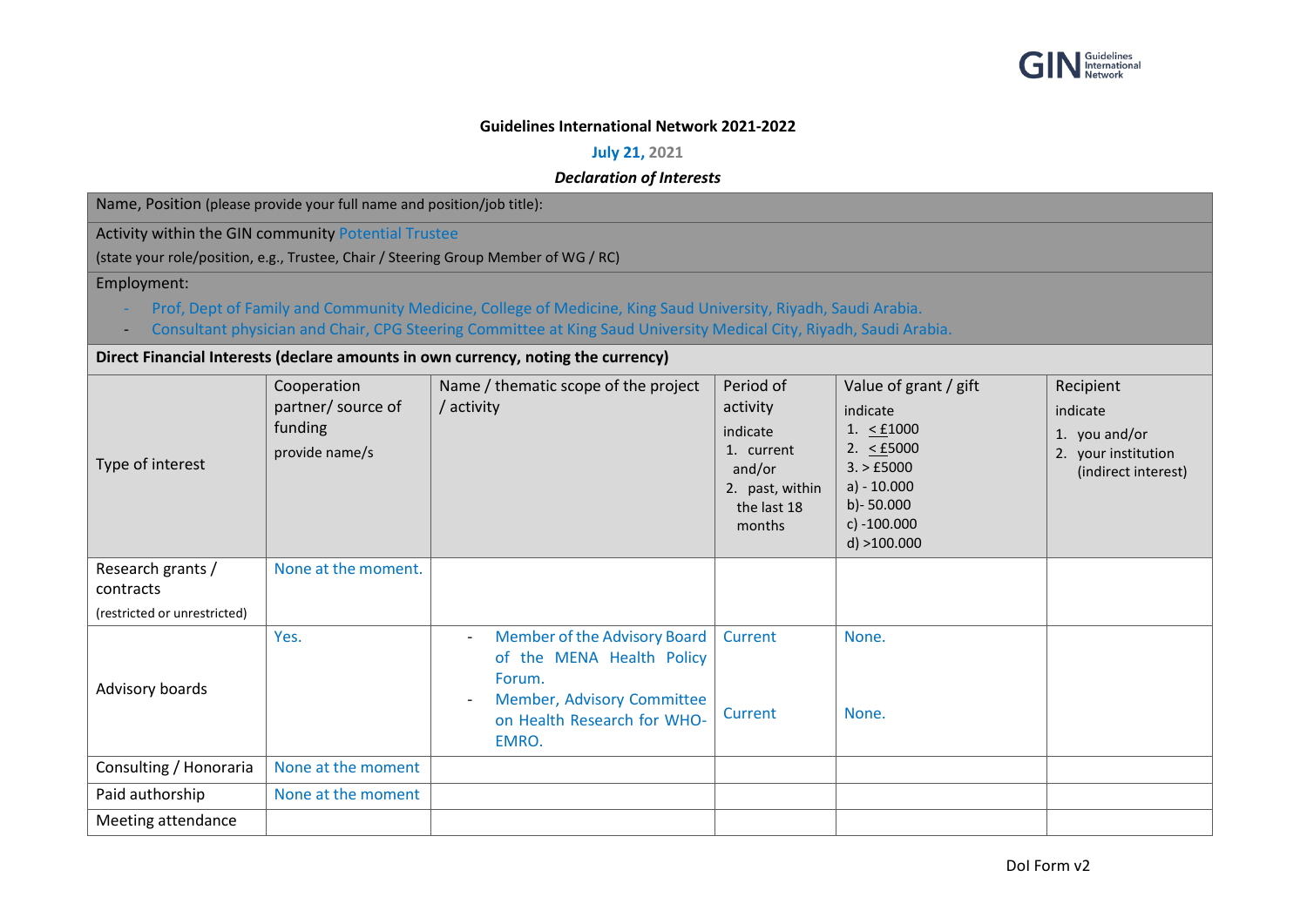

## **Guidelines International Network 2021-2022**

**July 21, 2021**

*Declaration of Interests*

Name, Position (please provide your full name and position/job title):

Activity within the GIN community Potential Trustee

(state your role/position, e.g., Trustee, Chair / Steering Group Member of WG / RC)

Employment:

- Prof, Dept of Family and Community Medicine, College of Medicine, King Saud University, Riyadh, Saudi Arabia.
- Consultant physician and Chair, CPG Steering Committee at King Saud University Medical City, Riyadh, Saudi Arabia.

**Direct Financial Interests (declare amounts in own currency, noting the currency)**

| Direct Financial interests (decidit amounts in Own currency, nothig the currency) |                                                                |                                                                                                                                                                                                   |                                                                                                       |                                                                                                                                                            |                                                                                      |  |  |  |
|-----------------------------------------------------------------------------------|----------------------------------------------------------------|---------------------------------------------------------------------------------------------------------------------------------------------------------------------------------------------------|-------------------------------------------------------------------------------------------------------|------------------------------------------------------------------------------------------------------------------------------------------------------------|--------------------------------------------------------------------------------------|--|--|--|
| Type of interest                                                                  | Cooperation<br>partner/ source of<br>funding<br>provide name/s | Name / thematic scope of the project<br>/ activity                                                                                                                                                | Period of<br>activity<br>indicate<br>1. current<br>and/or<br>2. past, within<br>the last 18<br>months | Value of grant / gift<br>indicate<br>1. $\leq$ £1000<br>2. $\leq$ £5000<br>3. > £5000<br>$a) - 10.000$<br>$b$ )- 50.000<br>c) $-100.000$<br>$d$ ) >100.000 | Recipient<br>indicate<br>1. you and/or<br>2. your institution<br>(indirect interest) |  |  |  |
| Research grants /<br>contracts                                                    | None at the moment.                                            |                                                                                                                                                                                                   |                                                                                                       |                                                                                                                                                            |                                                                                      |  |  |  |
| (restricted or unrestricted)                                                      |                                                                |                                                                                                                                                                                                   |                                                                                                       |                                                                                                                                                            |                                                                                      |  |  |  |
| Advisory boards                                                                   | Yes.                                                           | Member of the Advisory Board<br>$\overline{\phantom{a}}$<br>of the MENA Health Policy<br>Forum.<br>Member, Advisory Committee<br>$\overline{\phantom{a}}$<br>on Health Research for WHO-<br>EMRO. | Current<br>Current                                                                                    | None.<br>None.                                                                                                                                             |                                                                                      |  |  |  |
| Consulting / Honoraria                                                            | None at the moment                                             |                                                                                                                                                                                                   |                                                                                                       |                                                                                                                                                            |                                                                                      |  |  |  |
| Paid authorship                                                                   | None at the moment                                             |                                                                                                                                                                                                   |                                                                                                       |                                                                                                                                                            |                                                                                      |  |  |  |
| Meeting attendance                                                                |                                                                |                                                                                                                                                                                                   |                                                                                                       |                                                                                                                                                            |                                                                                      |  |  |  |